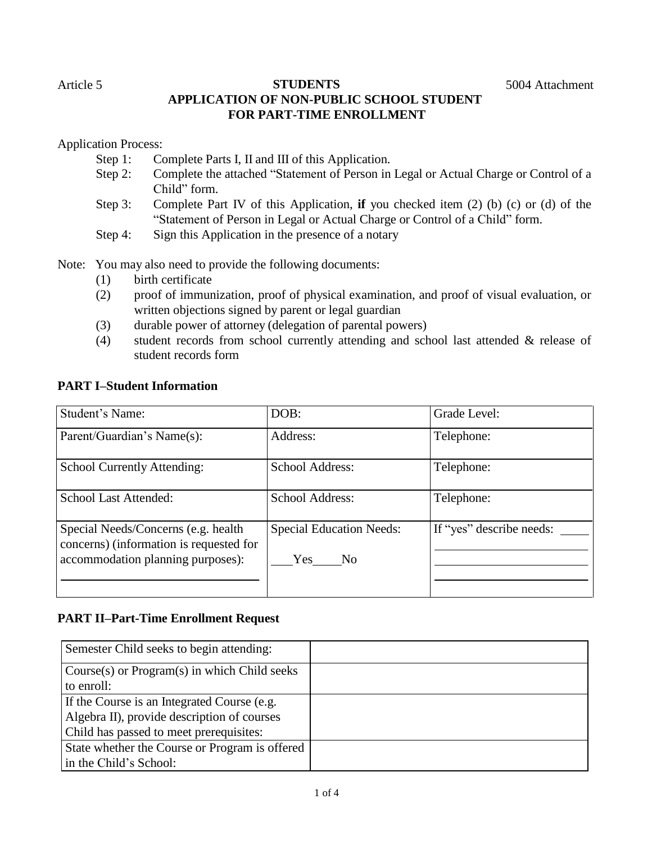# Article 5 **STUDENTS** 5004 Attachment **APPLICATION OF NON-PUBLIC SCHOOL STUDENT FOR PART-TIME ENROLLMENT**

Application Process:

- Step 1: Complete Parts I, II and III of this Application.
- Step 2: Complete the attached "Statement of Person in Legal or Actual Charge or Control of a Child" form.
- Step 3: Complete Part IV of this Application, **if** you checked item (2) (b) (c) or (d) of the "Statement of Person in Legal or Actual Charge or Control of a Child" form.
- Step 4: Sign this Application in the presence of a notary

Note: You may also need to provide the following documents:

- (1) birth certificate
- (2) proof of immunization, proof of physical examination, and proof of visual evaluation, or written objections signed by parent or legal guardian
- (3) durable power of attorney (delegation of parental powers)
- (4) student records from school currently attending and school last attended & release of student records form

# **PART I–Student Information**

| <b>Student's Name:</b>                                                                                              | DOB:                                                 | Grade Level:             |
|---------------------------------------------------------------------------------------------------------------------|------------------------------------------------------|--------------------------|
| Parent/Guardian's Name(s):                                                                                          | Address:                                             | Telephone:               |
| School Currently Attending:                                                                                         | School Address:                                      | Telephone:               |
| <b>School Last Attended:</b>                                                                                        | School Address:                                      | Telephone:               |
| Special Needs/Concerns (e.g. health<br>concerns) (information is requested for<br>accommodation planning purposes): | <b>Special Education Needs:</b><br><b>Yes</b><br>No. | If "yes" describe needs: |

# **PART II–Part-Time Enrollment Request**

| Semester Child seeks to begin attending:       |  |
|------------------------------------------------|--|
| Course(s) or Program(s) in which Child seeks   |  |
| to enroll:                                     |  |
| If the Course is an Integrated Course (e.g.    |  |
| Algebra II), provide description of courses    |  |
| Child has passed to meet prerequisites:        |  |
| State whether the Course or Program is offered |  |
| in the Child's School:                         |  |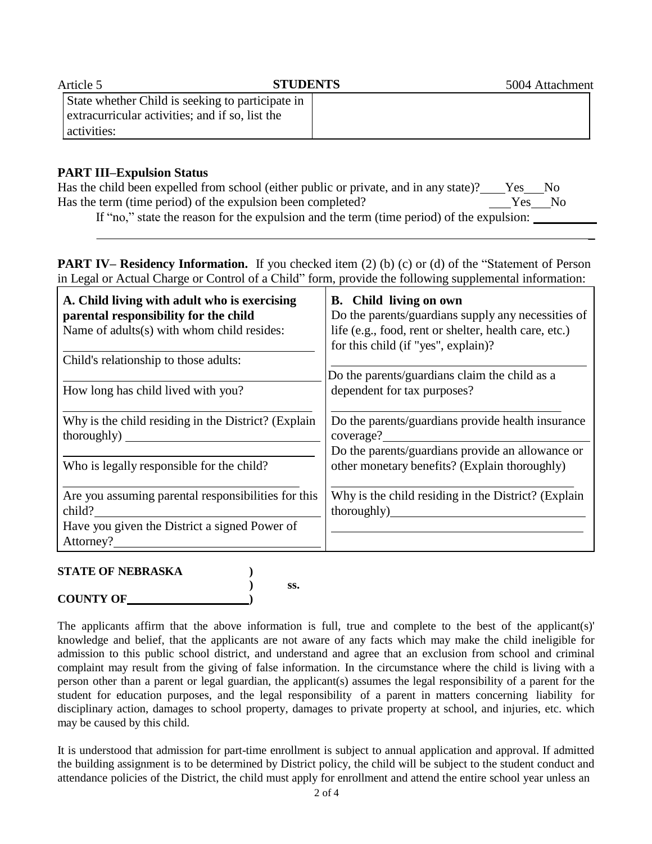| Article 5                                        | <b>STUDENTS</b> | 5004 Attachment |
|--------------------------------------------------|-----------------|-----------------|
| State whether Child is seeking to participate in |                 |                 |
| extracurricular activities; and if so, list the  |                 |                 |
| activities:                                      |                 |                 |

# **PART III–Expulsion Status**

| Has the child been expelled from school (either public or private, and in any state)? Fes No                                                                                           |        |  |
|----------------------------------------------------------------------------------------------------------------------------------------------------------------------------------------|--------|--|
| Has the term (time period) of the expulsion been completed?                                                                                                                            | Yes No |  |
| $\mathbf{H}^{\mathcal{L}}_{\mathcal{L}}(t_{1,1},\ldots,t_{k-1})$ , the second contribution of the second $\mathcal{L}(t_{1,1},\ldots,t_{k-1})$ , $\mathcal{L}(t_{1,1},\ldots,t_{k-1})$ |        |  |

If "no," state the reason for the expulsion and the term (time period) of the expulsion:

**PART IV– Residency Information.** If you checked item (2) (b) (c) or (d) of the "Statement of Person in Legal or Actual Charge or Control of a Child" form, provide the following supplemental information:

| A. Child living with adult who is exercising<br>parental responsibility for the child<br>Name of adults(s) with whom child resides: | <b>B.</b> Child living on own<br>Do the parents/guardians supply any necessities of<br>life (e.g., food, rent or shelter, health care, etc.)<br>for this child (if "yes", explain)? |
|-------------------------------------------------------------------------------------------------------------------------------------|-------------------------------------------------------------------------------------------------------------------------------------------------------------------------------------|
| Child's relationship to those adults:                                                                                               |                                                                                                                                                                                     |
|                                                                                                                                     | Do the parents/guardians claim the child as a                                                                                                                                       |
| How long has child lived with you?                                                                                                  | dependent for tax purposes?                                                                                                                                                         |
| Why is the child residing in the District? (Explain                                                                                 | Do the parents/guardians provide health insurance                                                                                                                                   |
| thoroughly)                                                                                                                         | coverage?                                                                                                                                                                           |
|                                                                                                                                     | Do the parents/guardians provide an allowance or                                                                                                                                    |
| Who is legally responsible for the child?                                                                                           | other monetary benefits? (Explain thoroughly)                                                                                                                                       |
| Are you assuming parental responsibilities for this                                                                                 | Why is the child residing in the District? (Explain                                                                                                                                 |
| child?                                                                                                                              | thoroughly)                                                                                                                                                                         |
| Have you given the District a signed Power of                                                                                       |                                                                                                                                                                                     |
| Attorney?                                                                                                                           |                                                                                                                                                                                     |

## **STATE OF NEBRASKA )**

**COUNTY OF )**

**) ss.**

The applicants affirm that the above information is full, true and complete to the best of the applicant(s)' knowledge and belief, that the applicants are not aware of any facts which may make the child ineligible for admission to this public school district, and understand and agree that an exclusion from school and criminal complaint may result from the giving of false information. In the circumstance where the child is living with a person other than a parent or legal guardian, the applicant(s) assumes the legal responsibility of a parent for the student for education purposes, and the legal responsibility of a parent in matters concerning liability for disciplinary action, damages to school property, damages to private property at school, and injuries, etc. which may be caused by this child.

It is understood that admission for part-time enrollment is subject to annual application and approval. If admitted the building assignment is to be determined by District policy, the child will be subject to the student conduct and attendance policies of the District, the child must apply for enrollment and attend the entire school year unless an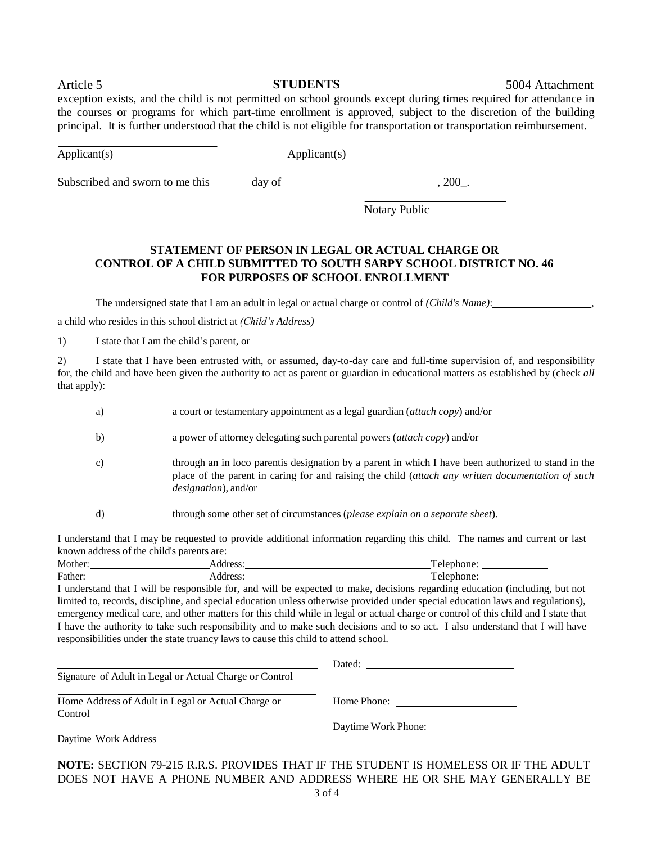Article 5 **STUDENTS** 5004 Attachment

exception exists, and the child is not permitted on school grounds except during times required for attendance in the courses or programs for which part-time enrollment is approved, subject to the discretion of the building principal. It is further understood that the child is not eligible for transportation or transportation reimbursement.

Applicant(s) Applicant(s)

Subscribed and sworn to me this day of  $\frac{1}{200}$ .

Notary Public

## **STATEMENT OF PERSON IN LEGAL OR ACTUAL CHARGE OR CONTROL OF A CHILD SUBMITTED TO SOUTH SARPY SCHOOL DISTRICT NO. 46 FOR PURPOSES OF SCHOOL ENROLLMENT**

The undersigned state that I am an adult in legal or actual charge or control of *(Child's Name)*: ,

a child who resides in this school district at *(Child's Address)*

1) I state that I am the child's parent, or

2) I state that I have been entrusted with, or assumed, day-to-day care and full-time supervision of, and responsibility for, the child and have been given the authority to act as parent or guardian in educational matters as established by (check *all* that apply):

- a) a court or testamentary appointment as a legal guardian (*attach copy*) and/or
- b) a power of attorney delegating such parental powers (*attach copy*) and/or
- c) through an in loco parentis designation by a parent in which I have been authorized to stand in the place of the parent in caring for and raising the child (*attach any written documentation of such designation*), and/or
- d) through some other set of circumstances (*please explain on a separate sheet*).

I understand that I may be requested to provide additional information regarding this child. The names and current or last known address of the child's parents are:

| Mother  | $\alpha$<br>UUU. |  |
|---------|------------------|--|
| Father: | . UUU            |  |

I understand that I will be responsible for, and will be expected to make, decisions regarding education (including, but not limited to, records, discipline, and special education unless otherwise provided under special education laws and regulations), emergency medical care, and other matters for this child while in legal or actual charge or control of this child and I state that I have the authority to take such responsibility and to make such decisions and to so act. I also understand that I will have responsibilities under the state truancy laws to cause this child to attend school.

|                                                         | Dated:              |
|---------------------------------------------------------|---------------------|
| Signature of Adult in Legal or Actual Charge or Control |                     |
| Home Address of Adult in Legal or Actual Charge or      | Home Phone:         |
| Control                                                 |                     |
|                                                         | Daytime Work Phone: |
| Daytime Work Address                                    |                     |

Daytime Work Address

**NOTE:** SECTION 79-215 R.R.S. PROVIDES THAT IF THE STUDENT IS HOMELESS OR IF THE ADULT DOES NOT HAVE A PHONE NUMBER AND ADDRESS WHERE HE OR SHE MAY GENERALLY BE